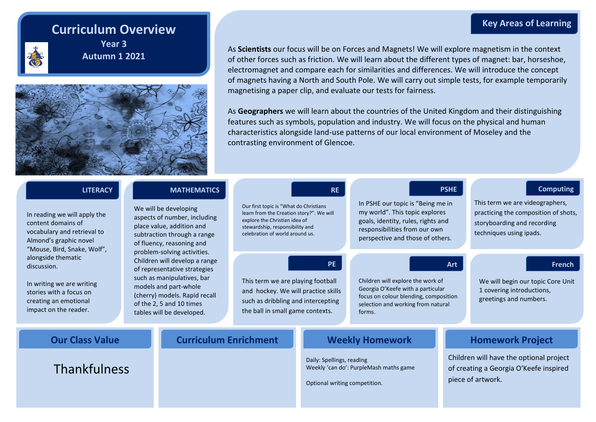# **Curriculum Overview**



**Year 3 Autumn 1 2021**



As **Scientists** our focus will be on Forces and Magnets! We will explore magnetism in the context of other forces such as friction. We will learn about the different types of magnet: bar, horseshoe, electromagnet and compare each for similarities and differences. We will introduce the concept of magnets having a North and South Pole. We will carry out simple tests, for example temporarily magnetising a paper clip, and evaluate our tests for fairness.

As **Geographers** we will learn about the countries of the United Kingdom and their distinguishing features such as symbols, population and industry. We will focus on the physical and human characteristics alongside land-use patterns of our local environment of Moseley and the contrasting environment of Glencoe.

| <b>LITERACY</b>                                                                                                                                                                 |                                                                                                                                               | <b>MATHEMATICS</b>                                                                                                                                                            |                                                                                                                                                                                           | <b>RE</b>                                                  |                                                                                                                                                                                | <b>PSHE</b>             | <b>Computing</b>                                                                                                                  |
|---------------------------------------------------------------------------------------------------------------------------------------------------------------------------------|-----------------------------------------------------------------------------------------------------------------------------------------------|-------------------------------------------------------------------------------------------------------------------------------------------------------------------------------|-------------------------------------------------------------------------------------------------------------------------------------------------------------------------------------------|------------------------------------------------------------|--------------------------------------------------------------------------------------------------------------------------------------------------------------------------------|-------------------------|-----------------------------------------------------------------------------------------------------------------------------------|
| In reading we will apply the<br>content domains of<br>vocabulary and retrieval to<br>Almond's graphic novel<br>"Mouse, Bird, Snake, Wolf",<br>alongside thematic<br>discussion. |                                                                                                                                               | We will be developing<br>aspects of number, including<br>place value, addition and<br>subtraction through a range<br>of fluency, reasoning and<br>problem-solving activities. | Our first topic is "What do Christians<br>learn from the Creation story?". We will<br>explore the Christian idea of<br>stewardship, responsibility and<br>celebration of world around us. |                                                            | In PSHE our topic is "Being me in<br>my world". This topic explores<br>goals, identity, rules, rights and<br>responsibilities from our own<br>perspective and those of others. |                         | This term we are videographers,<br>practicing the composition of shots,<br>storyboarding and recording<br>techniques using ipads. |
|                                                                                                                                                                                 |                                                                                                                                               | Children will develop a range<br>of representative strategies                                                                                                                 |                                                                                                                                                                                           | <b>PE</b>                                                  |                                                                                                                                                                                | Art                     | <b>French</b>                                                                                                                     |
| In writing we are writing<br>stories with a focus on<br>creating an emotional<br>impact on the reader.                                                                          | such as manipulatives, bar<br>models and part-whole<br>(cherry) models. Rapid recall<br>of the 2, 5 and 10 times<br>tables will be developed. |                                                                                                                                                                               | This term we are playing football<br>and hockey. We will practice skills<br>such as dribbling and intercepting<br>the ball in small game contexts.                                        |                                                            | Children will explore the work of<br>Georgia O'Keefe with a particular<br>focus on colour blending, composition<br>selection and working from natural<br>forms.                |                         | We will begin our topic Core Unit<br>1 covering introductions,<br>greetings and numbers.                                          |
| <b>Our Class Value</b>                                                                                                                                                          |                                                                                                                                               | <b>Curriculum Enrichment</b>                                                                                                                                                  |                                                                                                                                                                                           | <b>Weekly Homework</b>                                     |                                                                                                                                                                                | <b>Homework Project</b> |                                                                                                                                   |
| <b>Thankfulness</b>                                                                                                                                                             |                                                                                                                                               |                                                                                                                                                                               |                                                                                                                                                                                           | Daily: Spellings, reading<br>Optional writing competition. | Weekly 'can do': PurpleMash maths game                                                                                                                                         |                         | Children will have the optional project<br>of creating a Georgia O'Keefe inspired<br>piece of artwork.                            |

### **Key Areas of Learning**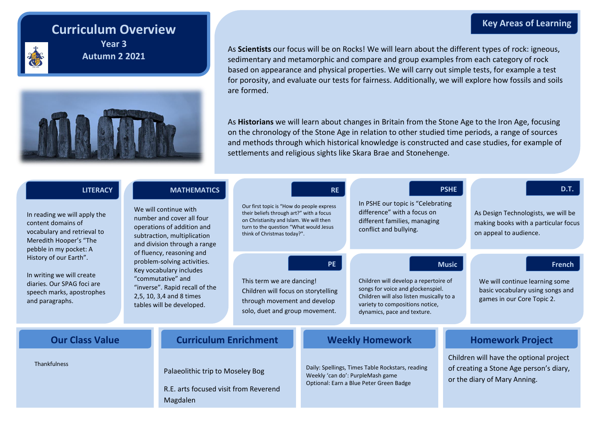# **Curriculum Overview**



**Year 3 Autumn 2 2021**



As **Scientists** our focus will be on Rocks! We will learn about the different types of rock: igneous, sedimentary and metamorphic and compare and group examples from each category of rock based on appearance and physical properties. We will carry out simple tests, for example a test for porosity, and evaluate our tests for fairness. Additionally, we will explore how fossils and soils are formed.

As **Historians** we will learn about changes in Britain from the Stone Age to the Iron Age, focusing on the chronology of the Stone Age in relation to other studied time periods, a range of sources and methods through which historical knowledge is constructed and case studies, for example of settlements and religious sights like Skara Brae and Stonehenge.

| <b>LITERACY</b><br>In reading we will apply the<br>content domains of<br>vocabulary and retrieval to<br>Meredith Hooper's "The<br>pebble in my pocket: A |                                                                                                                                                                                                     | <b>MATHEMATICS</b><br>We will continue with<br>number and cover all four<br>operations of addition and<br>subtraction, multiplication<br>and division through a range | <b>RE</b><br>Our first topic is "How do people express<br>their beliefs through art?" with a focus<br>on Christianity and Islam. We will then<br>turn to the question "What would Jesus<br>think of Christmas today?". |                                                                                                                                 | <b>PSHE</b><br>In PSHE our topic is "Celebrating<br>difference" with a focus on<br>different families, managing<br>conflict and bullying.                                                                |                                                                                                                    | D.T.<br>As Design Technologists, we will be<br>making books with a particular focus<br>on appeal to audience. |  |
|----------------------------------------------------------------------------------------------------------------------------------------------------------|-----------------------------------------------------------------------------------------------------------------------------------------------------------------------------------------------------|-----------------------------------------------------------------------------------------------------------------------------------------------------------------------|------------------------------------------------------------------------------------------------------------------------------------------------------------------------------------------------------------------------|---------------------------------------------------------------------------------------------------------------------------------|----------------------------------------------------------------------------------------------------------------------------------------------------------------------------------------------------------|--------------------------------------------------------------------------------------------------------------------|---------------------------------------------------------------------------------------------------------------|--|
| History of our Earth".<br>In writing we will create<br>diaries. Our SPAG foci are<br>speech marks, apostrophes<br>and paragraphs.                        | of fluency, reasoning and<br>problem-solving activities.<br>Key vocabulary includes<br>"commutative" and<br>"inverse". Rapid recall of the<br>2,5, 10, 3,4 and 8 times<br>tables will be developed. |                                                                                                                                                                       | <b>PE</b><br>This term we are dancing!<br>Children will focus on storytelling<br>through movement and develop<br>solo, duet and group movement.                                                                        |                                                                                                                                 | <b>Music</b><br>Children will develop a repertoire of<br>songs for voice and glockenspiel.<br>Children will also listen musically to a<br>variety to compositions notice,<br>dynamics, pace and texture. |                                                                                                                    | French<br>We will continue learning some<br>basic vocabulary using songs and<br>games in our Core Topic 2.    |  |
| <b>Our Class Value</b>                                                                                                                                   |                                                                                                                                                                                                     | <b>Curriculum Enrichment</b>                                                                                                                                          |                                                                                                                                                                                                                        | <b>Weekly Homework</b>                                                                                                          |                                                                                                                                                                                                          | <b>Homework Project</b>                                                                                            |                                                                                                               |  |
| Thankfulness                                                                                                                                             |                                                                                                                                                                                                     | Palaeolithic trip to Moseley Bog<br>R.E. arts focused visit from Reverend<br>Magdalen                                                                                 |                                                                                                                                                                                                                        | Daily: Spellings, Times Table Rockstars, reading<br>Weekly 'can do': PurpleMash game<br>Optional: Earn a Blue Peter Green Badge |                                                                                                                                                                                                          | Children will have the optional project<br>of creating a Stone Age person's diary,<br>or the diary of Mary Anning. |                                                                                                               |  |

### **Key Areas of Learning**